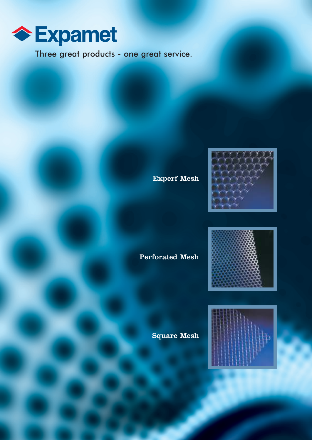

Three great products - one great service.

Experf Mesh



## Perforated Mesh



Square Mesh

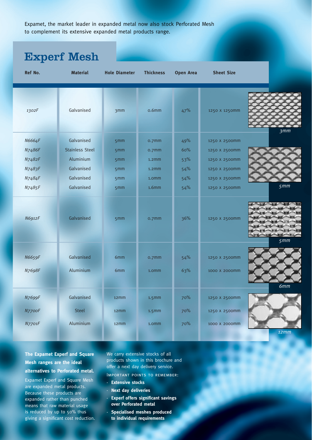Expamet, the market leader in expanded metal now also stock Perforated Mesh to complement its extensive expanded metal products range.

## Experf Mesh

| Ref No. | <b>Material</b>        | <b>Hole Diameter</b> | <b>Thickness</b>  | <b>Open Area</b> | <b>Sheet Size</b> |      |
|---------|------------------------|----------------------|-------------------|------------------|-------------------|------|
| 1302F   | Galvanised             | 3mm                  | 0.6 <sub>mm</sub> | 47%              | 1250 X 1250mm     | 3mm  |
| N6664F  | Galvanised             | 5mm                  | 0.7 <sub>mm</sub> | 49%              | 1250 X 2500mm     |      |
| N7486F  | <b>Stainless Steel</b> | 5mm                  | o.7mm             | 60%              | 1250 X 2500mm     |      |
| N7482F  | Aluminium              | 5mm                  | 1.2 <sub>mm</sub> | 53%              | 1250 X 2500mm     |      |
| N7483F  | Galvanised             | 5mm                  | 1.2 <sub>mm</sub> | 54%              | 1250 X 2500mm     |      |
| N7484F  | Galvanised             | 5mm                  | 1.0mm             | 54%              | 1250 X 2500mm     |      |
| N7485F  | Galvanised             | 5mm                  | 1.6 <sub>mm</sub> | 54%              | 1250 X 2500mm     | 5mm  |
| N6912F  | Galvanised             | 5mm                  | o.7mm             | 36%              | 1250 X 2500mm     | 5mm  |
|         |                        |                      |                   |                  |                   |      |
| N6659F  | Galvanised             | 6mm                  | o.7mm             | 54%              | 1250 X 2500mm     |      |
| N7698F  | Aluminium              | 6mm                  | 1.0mm             | 63%              | 1000 X 2000mm     |      |
|         |                        |                      |                   |                  |                   | 6mm  |
| N7699F  | Galvanised             | 12 <sub>m</sub> m    | $1.5$ mm          | 70%              | 1250 X 2500mm     |      |
| N7700F  | <b>Steel</b>           | 12 <sub>mm</sub>     | 1.5 <sub>mm</sub> | 70%              | 1250 X 2500mm     |      |
| N7701F  | Aluminium              | 12 <sub>mm</sub>     | 1.0mm             | 70%              | 1000 X 2000mm     |      |
|         |                        |                      |                   |                  |                   | 12mm |

## **The Expamet Experf and Square Mesh ranges are the ideal alternatives to Perforated metal.**

Expamet Experf and Square Mesh are expanded metal products. Because these products are expanded rather than punched means that raw material usage is reduced by up to 50% thus giving a significant cost reduction. We carry extensive stocks of all products shown in this brochure and offer a next day delivery service.

- Important points to remember:
- **Extensive stocks**
- **Next day deliveries**
- **Experf offers significant savings over Perforated metal**
- **Specialised meshes produced to individual requirements**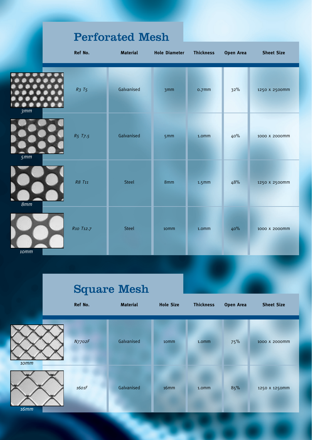|      |             | <b>Perforated Mesh</b> |                      |                  |                  |                   |
|------|-------------|------------------------|----------------------|------------------|------------------|-------------------|
|      | Ref No.     | <b>Material</b>        | <b>Hole Diameter</b> | <b>Thickness</b> | <b>Open Area</b> | <b>Sheet Size</b> |
| 3mm  | $R_3$ $T_5$ | Galvanised             | 3mm                  | o.7mm            | 32%              | 1250 X 2500mm     |
| 5mm  | R5 T7.5     | Galvanised             | 5mm                  | 1.0mm            | 40%              | 1000 X 2000mm     |
| 8mm  | R8 T11      | <b>Steel</b>           | 8mm                  | $1.5$ mm         | 48%              | 1250 X 2500mm     |
| 10mm | R10 T12.7   | Steel                  | 10mm                 | 1.0mm            | 40%              | 1000 X 2000mm     |

## Square Mesh

|             | Ref No. | <b>Material</b> | <b>Hole Size</b> | <b>Thickness</b> | <b>Open Area</b> | <b>Sheet Size</b> |
|-------------|---------|-----------------|------------------|------------------|------------------|-------------------|
| 10mm        | N7702F  | Galvanised      | 10 <sub>mm</sub> | 1.0 <sub>m</sub> | 75%              | 1000 X 2000mm     |
| <b>16mm</b> | 1601F   | Galvanised      | 16mm             | 1.0mm            | 85%              | 1250 X 1250mm     |